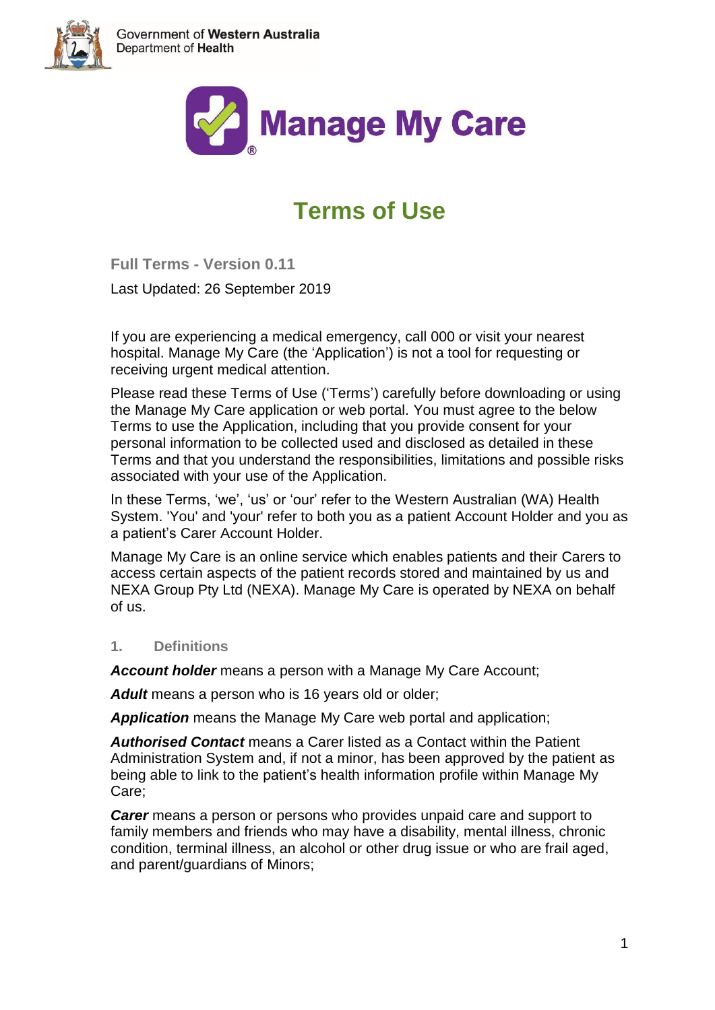



# **Terms of Use**

**Full Terms - Version 0.11**

Last Updated: 26 September 2019

If you are experiencing a medical emergency, call 000 or visit your nearest hospital. Manage My Care (the 'Application') is not a tool for requesting or receiving urgent medical attention.

Please read these Terms of Use ('Terms') carefully before downloading or using the Manage My Care application or web portal. You must agree to the below Terms to use the Application, including that you provide consent for your personal information to be collected used and disclosed as detailed in these Terms and that you understand the responsibilities, limitations and possible risks associated with your use of the Application.

In these Terms, 'we', 'us' or 'our' refer to the Western Australian (WA) Health System. 'You' and 'your' refer to both you as a patient Account Holder and you as a patient's Carer Account Holder.

Manage My Care is an online service which enables patients and their Carers to access certain aspects of the patient records stored and maintained by us and NEXA Group Pty Ltd (NEXA). Manage My Care is operated by NEXA on behalf of us.

# **1. Definitions**

*Account holder* means a person with a Manage My Care Account;

Adult means a person who is 16 years old or older;

*Application* means the Manage My Care web portal and application;

*Authorised Contact* means a Carer listed as a Contact within the Patient Administration System and, if not a minor, has been approved by the patient as being able to link to the patient's health information profile within Manage My Care;

*Carer* means a person or persons who provides unpaid care and support to family members and friends who may have a disability, mental illness, chronic condition, terminal illness, an alcohol or other drug issue or who are frail aged, and parent/guardians of Minors;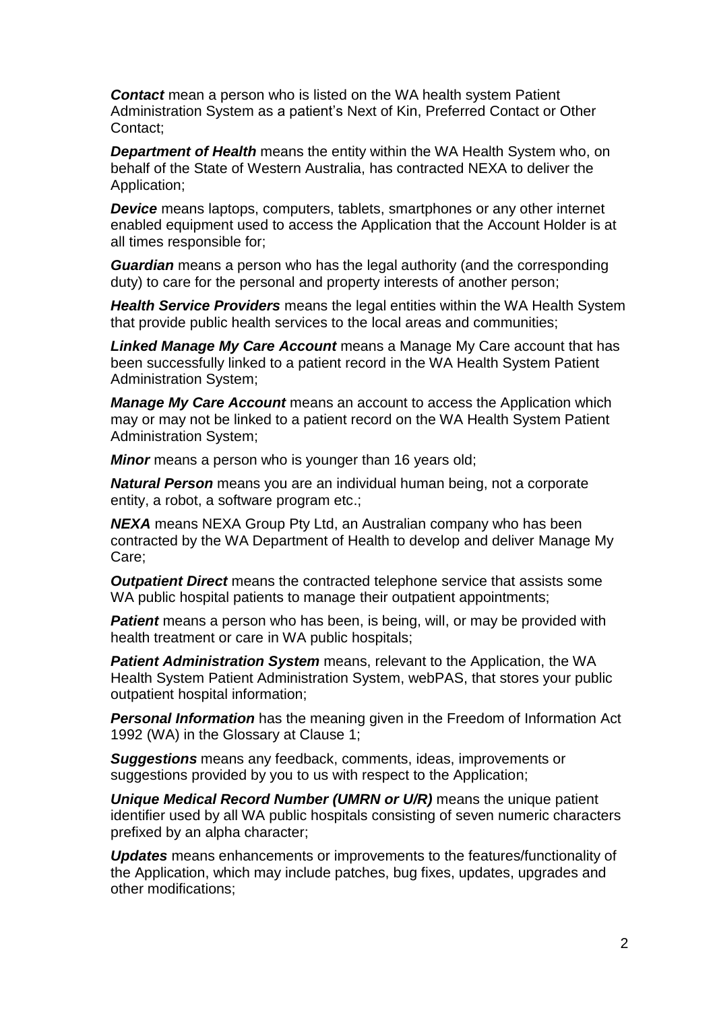**Contact** mean a person who is listed on the WA health system Patient Administration System as a patient's Next of Kin, Preferred Contact or Other Contact;

**Department of Health** means the entity within the WA Health System who, on behalf of the State of Western Australia, has contracted NEXA to deliver the Application;

*Device* means [laptops, computers, tablets,](https://www.lawinsider.com/dictionary/mobile-devices) smartphones or any other internet enabled equipment used to access the Application that the Account Holder is at all times responsible for;

*Guardian* means a person who has the legal authority (and the corresponding duty) to care for the personal and property interests of another person;

*Health Service Providers* means the legal entities within the WA Health System that provide public health services to the local areas and communities;

*Linked Manage My Care Account* means a Manage My Care account that has been successfully linked to a patient record in the WA Health System Patient Administration System;

*Manage My Care Account* means an account to access the Application which may or may not be linked to a patient record on the WA Health System Patient Administration System;

*Minor* means a person who is younger than 16 years old;

*Natural Person* means you are an individual human being, not a corporate entity, a robot, a software program etc.;

*NEXA* means NEXA Group Pty Ltd, an Australian company who has been contracted by the WA Department of Health to develop and deliver Manage My Care;

*Outpatient Direct* means the contracted telephone service that assists some WA public hospital patients to manage their outpatient appointments;

**Patient** means a person who has been, is being, will, or may be provided with health treatment or care in WA public hospitals;

*Patient Administration System* means, relevant to the Application, the WA Health System Patient Administration System, webPAS, that stores your public outpatient hospital information;

*Personal Information* has the meaning given in the Freedom of Information Act 1992 (WA) in the Glossary at Clause 1;

*Suggestions* means any feedback, comments, ideas, improvements or suggestions provided by you to us with respect to the Application;

*Unique Medical Record Number (UMRN or U/R)* means the unique patient identifier used by all WA public hospitals consisting of seven numeric characters prefixed by an alpha character;

*Updates* means enhancements or improvements to the features/functionality of the Application, which may include patches, bug fixes, updates, upgrades and other modifications;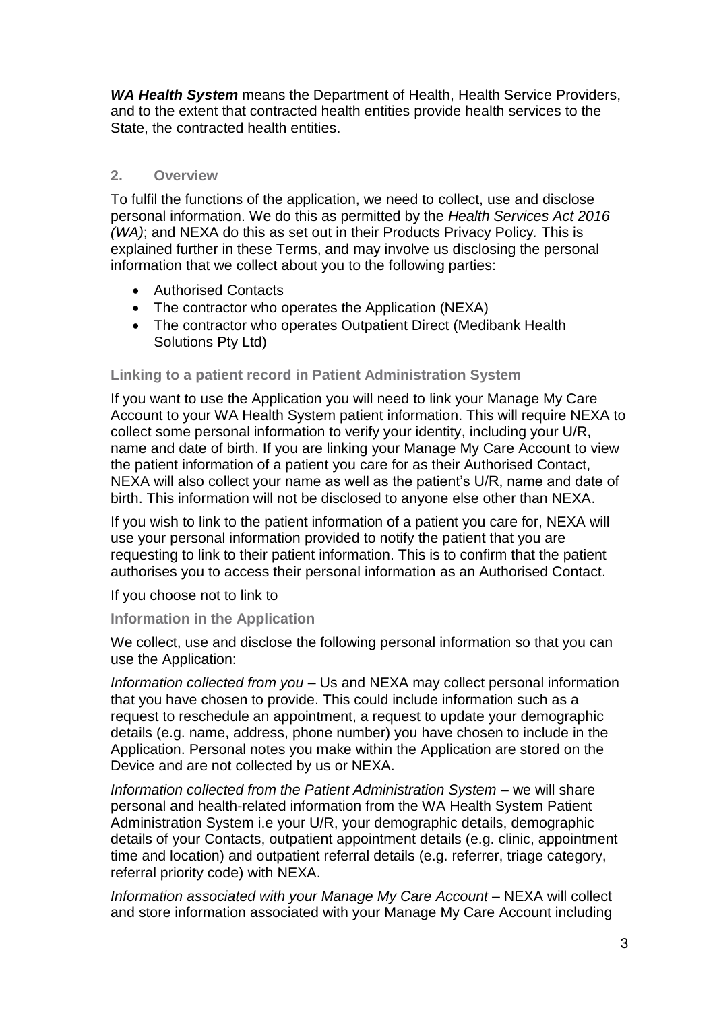*WA Health System* means the Department of Health, Health Service Providers, and to the extent that contracted health entities provide health services to the State, the contracted health entities.

# **2. Overview**

To fulfil the functions of the application, we need to collect, use and disclose personal information. We do this as permitted by the *Health Services Act 2016 (WA)*; and NEXA do this as set out in their Products Privacy Policy*.* This is explained further in these Terms, and may involve us disclosing the personal information that we collect about you to the following parties:

- Authorised Contacts
- The contractor who operates the Application (NEXA)
- The contractor who operates Outpatient Direct (Medibank Health) Solutions Pty Ltd)

## **Linking to a patient record in Patient Administration System**

If you want to use the Application you will need to link your Manage My Care Account to your WA Health System patient information. This will require NEXA to collect some personal information to verify your identity, including your U/R, name and date of birth. If you are linking your Manage My Care Account to view the patient information of a patient you care for as their Authorised Contact, NEXA will also collect your name as well as the patient's U/R, name and date of birth. This information will not be disclosed to anyone else other than NEXA.

If you wish to link to the patient information of a patient you care for, NEXA will use your personal information provided to notify the patient that you are requesting to link to their patient information. This is to confirm that the patient authorises you to access their personal information as an Authorised Contact.

If you choose not to link to

## **Information in the Application**

We collect, use and disclose the following personal information so that you can use the Application:

*Information collected from you* – Us and NEXA may collect personal information that you have chosen to provide. This could include information such as a request to reschedule an appointment, a request to update your demographic details (e.g. name, address, phone number) you have chosen to include in the Application. Personal notes you make within the Application are stored on the Device and are not collected by us or NEXA.

*Information collected from the Patient Administration System* – we will share personal and health-related information from the WA Health System Patient Administration System i.e your U/R, your demographic details, demographic details of your Contacts, outpatient appointment details (e.g. clinic, appointment time and location) and outpatient referral details (e.g. referrer, triage category, referral priority code) with NEXA.

*Information associated with your Manage My Care Account* – NEXA will collect and store information associated with your Manage My Care Account including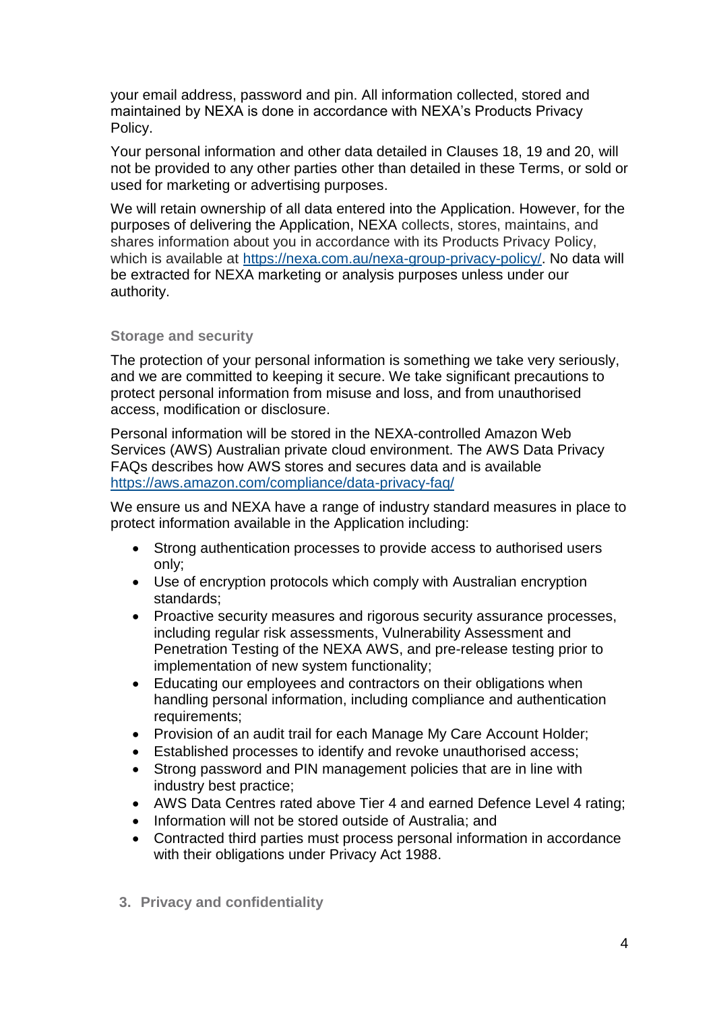your email address, password and pin. All information collected, stored and maintained by NEXA is done in accordance with NEXA's Products Privacy Policy.

Your personal information and other data detailed in Clauses 18, 19 and 20, will not be provided to any other parties other than detailed in these Terms, or sold or used for marketing or advertising purposes.

We will retain ownership of all data entered into the Application. However, for the purposes of delivering the Application, NEXA collects, stores, maintains, and shares information about you in accordance with its Products Privacy Policy, which is available at [https://nexa.com.au/nexa-group-privacy-policy/.](https://nexa.com.au/nexa-group-privacy-policy/) No data will be extracted for NEXA marketing or analysis purposes unless under our authority.

#### **Storage and security**

The protection of your personal information is something we take very seriously, and we are committed to keeping it secure. We take significant precautions to protect personal information from misuse and loss, and from unauthorised access, modification or disclosure.

Personal information will be stored in the NEXA-controlled Amazon Web Services (AWS) Australian private cloud environment. The AWS Data Privacy FAQs describes how AWS stores and secures data and is available <https://aws.amazon.com/compliance/data-privacy-faq/>

We ensure us and NEXA have a range of industry standard measures in place to protect information available in the Application including:

- Strong authentication processes to provide access to authorised users only;
- Use of encryption protocols which comply with Australian encryption standards;
- Proactive security measures and rigorous security assurance processes, including regular risk assessments, Vulnerability Assessment and Penetration Testing of the NEXA AWS, and pre-release testing prior to implementation of new system functionality;
- Educating our employees and contractors on their obligations when handling personal information, including compliance and authentication requirements;
- Provision of an audit trail for each Manage My Care Account Holder;
- Established processes to identify and revoke unauthorised access;
- Strong password and PIN management policies that are in line with industry best practice;
- AWS Data Centres rated above Tier 4 and earned Defence Level 4 rating;
- Information will not be stored outside of Australia; and
- Contracted third parties must process personal information in accordance with their obligations under Privacy Act 1988.
- **3. Privacy and confidentiality**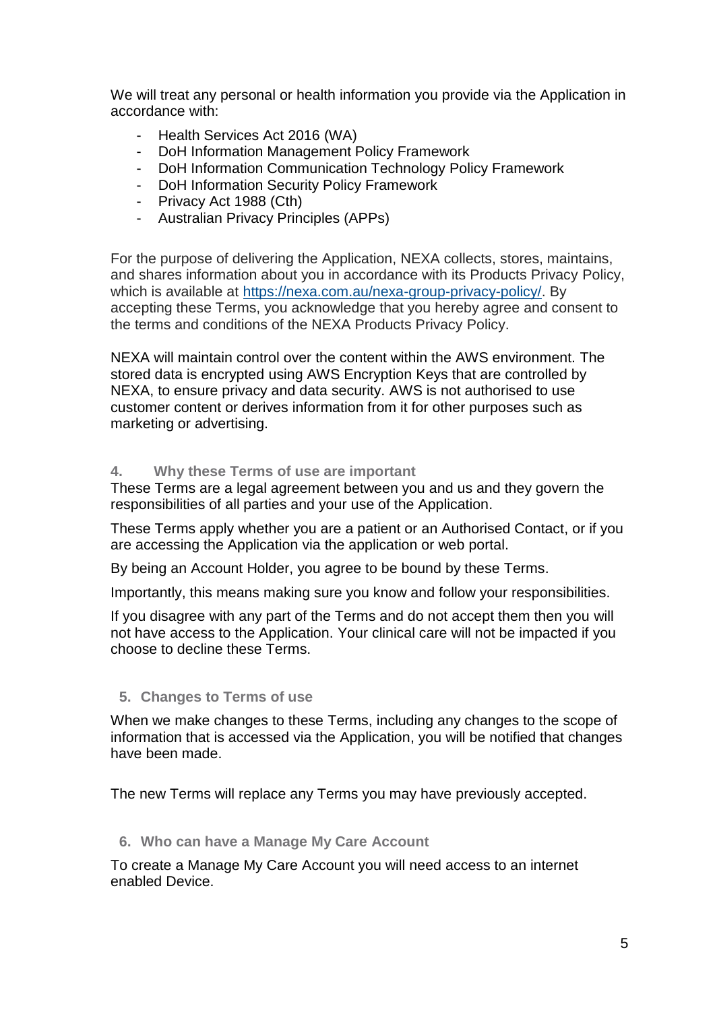We will treat any personal or health information you provide via the Application in accordance with:

- Health Services Act 2016 (WA)
- DoH Information Management Policy Framework
- DoH Information Communication Technology Policy Framework
- DoH Information Security Policy Framework
- Privacy Act 1988 (Cth)
- Australian Privacy Principles (APPs)

For the purpose of delivering the Application, NEXA collects, stores, maintains, and shares information about you in accordance with its Products Privacy Policy, which is available at [https://nexa.com.au/nexa-group-privacy-policy/.](https://nexa.com.au/nexa-group-privacy-policy/) By accepting these Terms, you acknowledge that you hereby agree and consent to the terms and conditions of the NEXA Products Privacy Policy.

NEXA will maintain control over the content within the AWS environment. The stored data is encrypted using AWS Encryption Keys that are controlled by NEXA, to ensure privacy and data security. AWS is not authorised to use customer content or derives information from it for other purposes such as marketing or advertising.

#### **4. Why these Terms of use are important**

These Terms are a legal agreement between you and us and they govern the responsibilities of all parties and your use of the Application.

These Terms apply whether you are a patient or an Authorised Contact, or if you are accessing the Application via the application or web portal.

By being an Account Holder, you agree to be bound by these Terms.

Importantly, this means making sure you know and follow your responsibilities.

If you disagree with any part of the Terms and do not accept them then you will not have access to the Application. Your clinical care will not be impacted if you choose to decline these Terms.

## **5. Changes to Terms of use**

When we make changes to these Terms, including any changes to the scope of information that is accessed via the Application, you will be notified that changes have been made.

The new Terms will replace any Terms you may have previously accepted.

#### **6. Who can have a Manage My Care Account**

To create a Manage My Care Account you will need access to an internet enabled Device.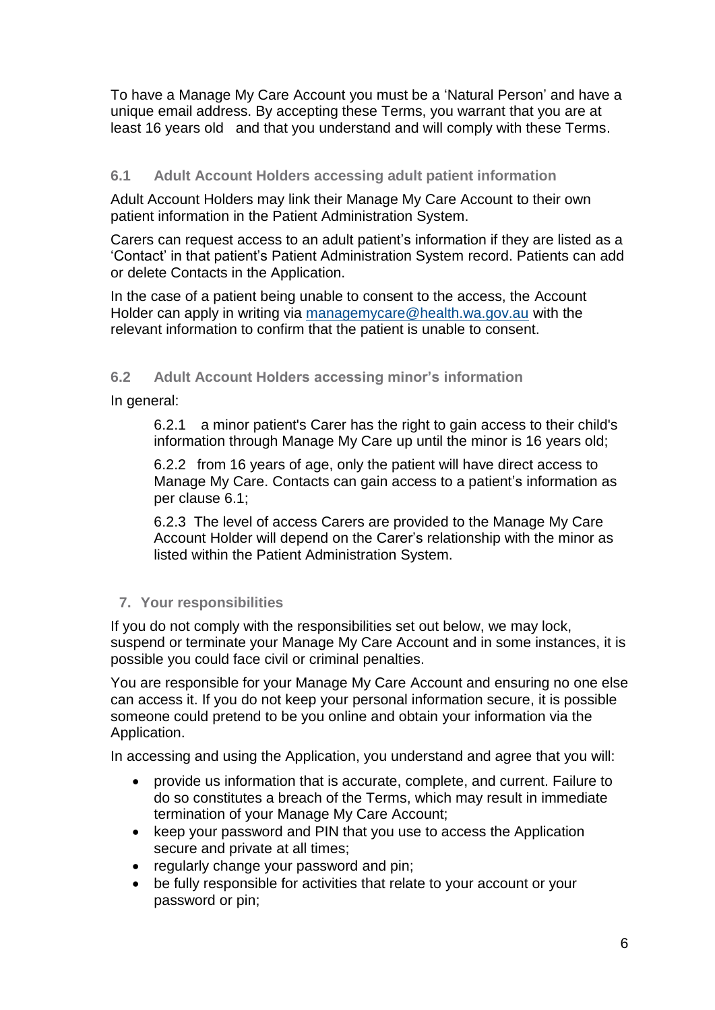To have a Manage My Care Account you must be a 'Natural Person' and have a unique email address. By accepting these Terms, you warrant that you are at least 16 years old and that you understand and will comply with these Terms.

# **6.1 Adult Account Holders accessing adult patient information**

Adult Account Holders may link their Manage My Care Account to their own patient information in the Patient Administration System.

Carers can request access to an adult patient's information if they are listed as a 'Contact' in that patient's Patient Administration System record. Patients can add or delete Contacts in the Application.

In the case of a patient being unable to consent to the access, the Account Holder can apply in writing via [managemycare@health.wa.gov.au](mailto:managemycare@health.wa.gov.au) with the relevant information to confirm that the patient is unable to consent.

# **6.2 Adult Account Holders accessing minor's information**

In general:

6.2.1 a minor patient's Carer has the right to gain access to their child's information through Manage My Care up until the minor is 16 years old;

6.2.2 from 16 years of age, only the patient will have direct access to Manage My Care. Contacts can gain access to a patient's information as per clause 6.1;

6.2.3 The level of access Carers are provided to the Manage My Care Account Holder will depend on the Carer's relationship with the minor as listed within the Patient Administration System.

# **7. Your responsibilities**

If you do not comply with the responsibilities set out below, we may lock, suspend or terminate your Manage My Care Account and in some instances, it is possible you could face civil or criminal penalties.

You are responsible for your Manage My Care Account and ensuring no one else can access it. If you do not keep your personal information secure, it is possible someone could pretend to be you online and obtain your information via the Application.

In accessing and using the Application, you understand and agree that you will:

- provide us information that is accurate, complete, and current. Failure to do so constitutes a breach of the Terms, which may result in immediate termination of your Manage My Care Account;
- keep your password and PIN that you use to access the Application secure and private at all times;
- regularly change your password and pin;
- be fully responsible for activities that relate to your account or your password or pin;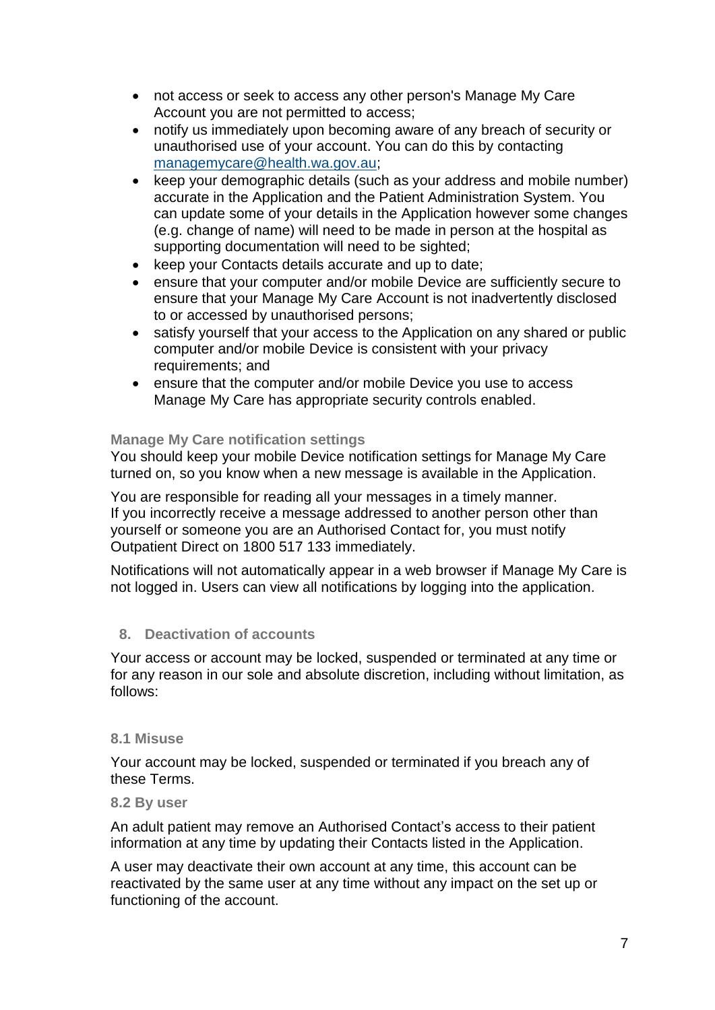- not access or seek to access any other person's Manage My Care Account you are not permitted to access;
- notify us immediately upon becoming aware of any breach of security or unauthorised use of your account. You can do this by contacting [managemycare@health.wa.gov.au;](mailto:managemycare@health.wa.gov.au)
- keep your demographic details (such as your address and mobile number) accurate in the Application and the Patient Administration System. You can update some of your details in the Application however some changes (e.g. change of name) will need to be made in person at the hospital as supporting documentation will need to be sighted;
- keep your Contacts details accurate and up to date;
- ensure that your computer and/or mobile Device are sufficiently secure to ensure that your Manage My Care Account is not inadvertently disclosed to or accessed by unauthorised persons;
- satisfy yourself that your access to the Application on any shared or public computer and/or mobile Device is consistent with your privacy requirements; and
- ensure that the computer and/or mobile Device you use to access Manage My Care has appropriate security controls enabled.

# **Manage My Care notification settings**

You should keep your mobile Device notification settings for Manage My Care turned on, so you know when a new message is available in the Application.

You are responsible for reading all your messages in a timely manner. If you incorrectly receive a message addressed to another person other than yourself or someone you are an Authorised Contact for, you must notify Outpatient Direct on 1800 517 133 immediately.

Notifications will not automatically appear in a web browser if Manage My Care is not logged in. Users can view all notifications by logging into the application.

# **8. Deactivation of accounts**

Your access or account may be locked, suspended or terminated at any time or for any reason in our sole and absolute discretion, including without limitation, as follows:

## **8.1 Misuse**

Your account may be locked, suspended or terminated if you breach any of these Terms.

## **8.2 By user**

An adult patient may remove an Authorised Contact's access to their patient information at any time by updating their Contacts listed in the Application.

A user may deactivate their own account at any time, this account can be reactivated by the same user at any time without any impact on the set up or functioning of the account.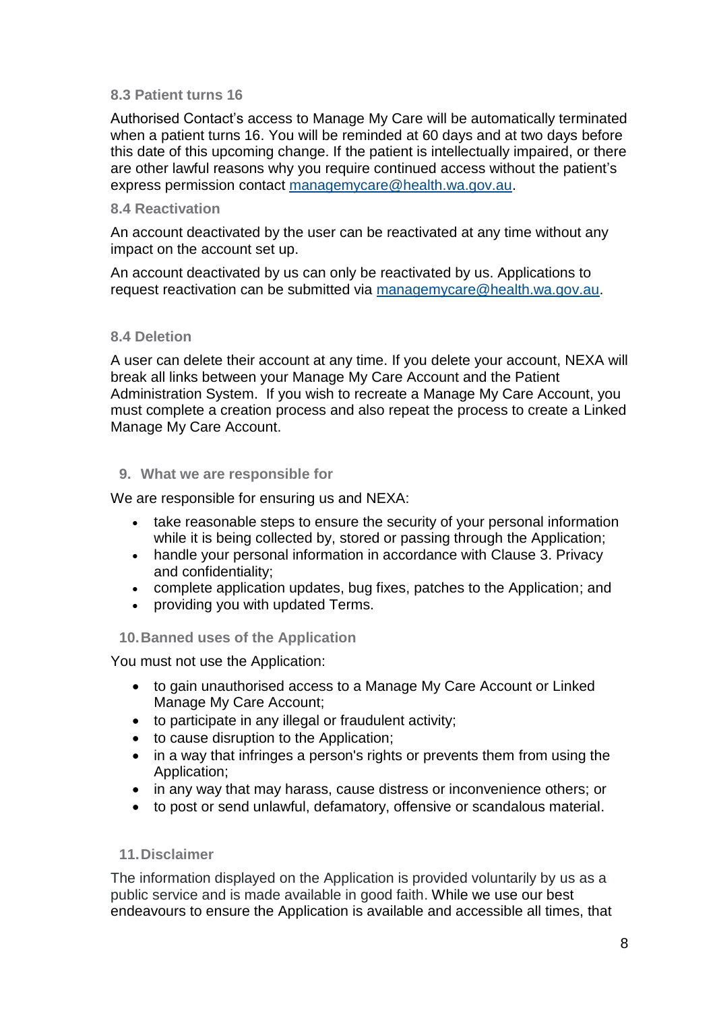## **8.3 Patient turns 16**

Authorised Contact's access to Manage My Care will be automatically terminated when a patient turns 16. You will be reminded at 60 days and at two days before this date of this upcoming change. If the patient is intellectually impaired, or there are other lawful reasons why you require continued access without the patient's express permission contact [managemycare@health.wa.gov.au.](mailto:managemycare@health.wa.gov.au)

#### **8.4 Reactivation**

An account deactivated by the user can be reactivated at any time without any impact on the account set up.

An account deactivated by us can only be reactivated by us. Applications to request reactivation can be submitted via [managemycare@health.wa.gov.au.](mailto:managemycare@health.wa.gov.au)

#### **8.4 Deletion**

A user can delete their account at any time. If you delete your account, NEXA will break all links between your Manage My Care Account and the Patient Administration System. If you wish to recreate a Manage My Care Account, you must complete a creation process and also repeat the process to create a Linked Manage My Care Account.

#### **9. What we are responsible for**

We are responsible for ensuring us and NEXA:

- take reasonable steps to ensure the security of your personal information while it is being collected by, stored or passing through the Application;
- handle your personal information in accordance with Clause 3. Privacy and confidentiality;
- complete application updates, bug fixes, patches to the Application; and
- providing you with updated Terms.

## **10.Banned uses of the Application**

You must not use the Application:

- to gain unauthorised access to a Manage My Care Account or Linked Manage My Care Account;
- to participate in any illegal or fraudulent activity;
- to cause disruption to the Application;
- in a way that infringes a person's rights or prevents them from using the Application;
- in any way that may harass, cause distress or inconvenience others; or
- to post or send unlawful, defamatory, offensive or scandalous material.

## **11.Disclaimer**

The information displayed on the Application is provided voluntarily by us as a public service and is made available in good faith. While we use our best endeavours to ensure the Application is available and accessible all times, that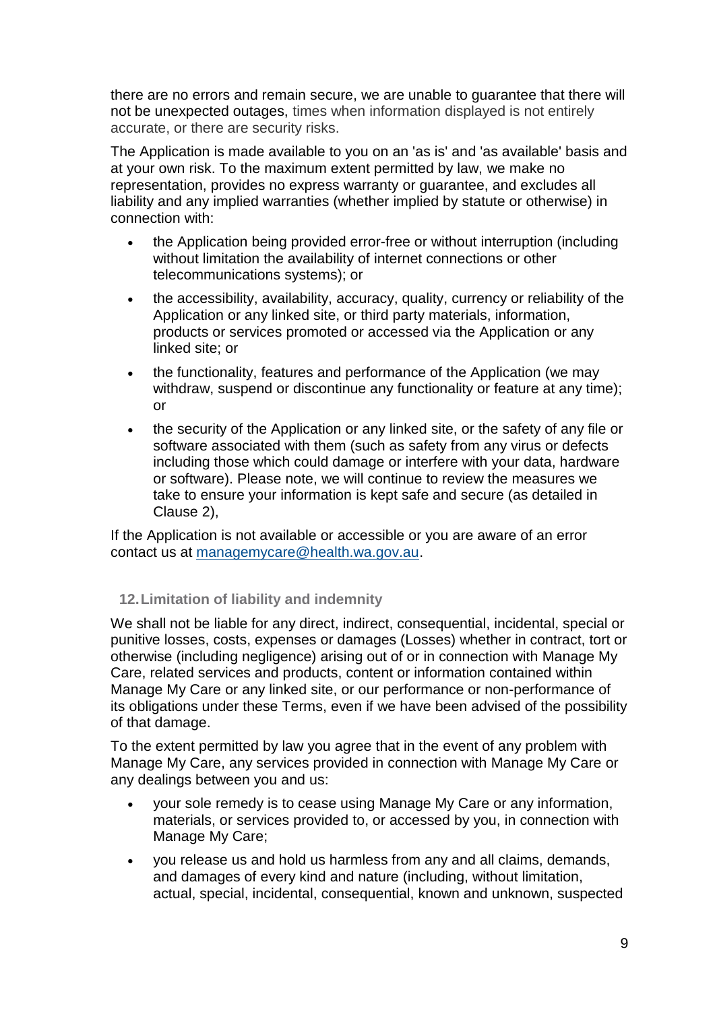there are no errors and remain secure, we are unable to guarantee that there will not be unexpected outages, times when information displayed is not entirely accurate, or there are security risks.

The Application is made available to you on an 'as is' and 'as available' basis and at your own risk. To the maximum extent permitted by law, we make no representation, provides no express warranty or guarantee, and excludes all liability and any implied warranties (whether implied by statute or otherwise) in connection with:

- the Application being provided error-free or without interruption (including without limitation the availability of internet connections or other telecommunications systems); or
- the accessibility, availability, accuracy, quality, currency or reliability of the Application or any linked site, or third party materials, information, products or services promoted or accessed via the Application or any linked site; or
- the functionality, features and performance of the Application (we may withdraw, suspend or discontinue any functionality or feature at any time); or
- the security of the Application or any linked site, or the safety of any file or software associated with them (such as safety from any virus or defects including those which could damage or interfere with your data, hardware or software). Please note, we will continue to review the measures we take to ensure your information is kept safe and secure (as detailed in Clause 2),

If the Application is not available or accessible or you are aware of an error contact us at [managemycare@health.wa.gov.au.](mailto:adminmanagemycare@health.wa.gov.au)

# **12.Limitation of liability and indemnity**

We shall not be liable for any direct, indirect, consequential, incidental, special or punitive losses, costs, expenses or damages (Losses) whether in contract, tort or otherwise (including negligence) arising out of or in connection with Manage My Care, related services and products, content or information contained within Manage My Care or any linked site, or our performance or non-performance of its obligations under these Terms, even if we have been advised of the possibility of that damage.

To the extent permitted by law you agree that in the event of any problem with Manage My Care, any services provided in connection with Manage My Care or any dealings between you and us:

- your sole remedy is to cease using Manage My Care or any information, materials, or services provided to, or accessed by you, in connection with Manage My Care;
- you release us and hold us harmless from any and all claims, demands, and damages of every kind and nature (including, without limitation, actual, special, incidental, consequential, known and unknown, suspected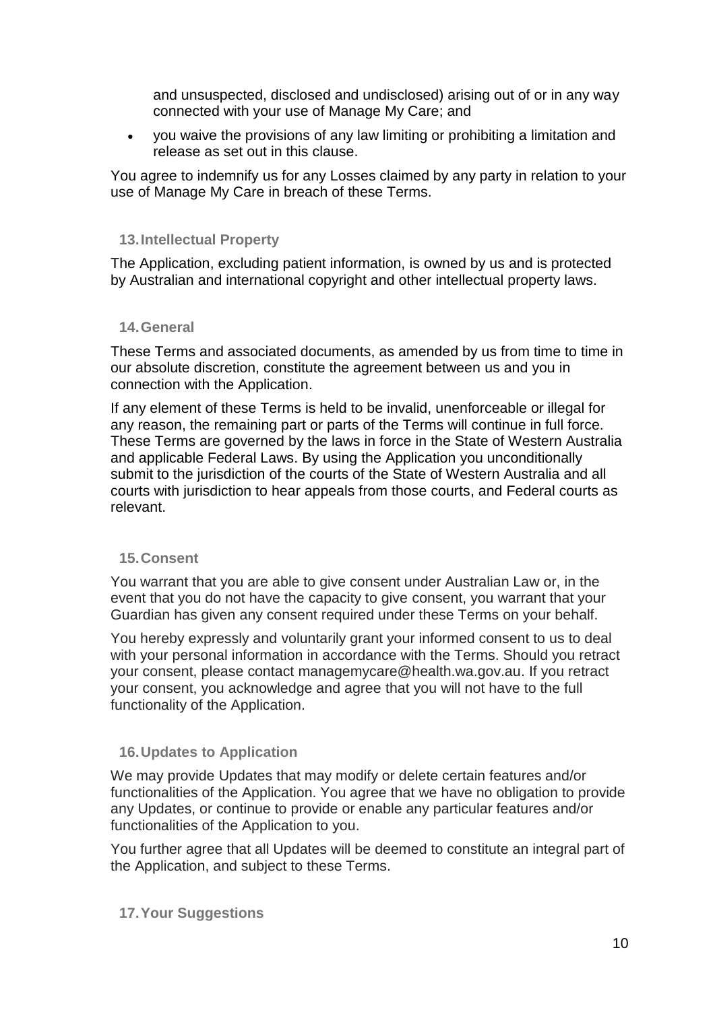and unsuspected, disclosed and undisclosed) arising out of or in any way connected with your use of Manage My Care; and

• you waive the provisions of any law limiting or prohibiting a limitation and release as set out in this clause.

You agree to indemnify us for any Losses claimed by any party in relation to your use of Manage My Care in breach of these Terms.

# **13.Intellectual Property**

The Application, excluding patient information, is owned by us and is protected by Australian and international copyright and other intellectual property laws.

## **14.General**

These Terms and associated documents, as amended by us from time to time in our absolute discretion, constitute the agreement between us and you in connection with the Application.

If any element of these Terms is held to be invalid, unenforceable or illegal for any reason, the remaining part or parts of the Terms will continue in full force. These Terms are governed by the laws in force in the State of Western Australia and applicable Federal Laws. By using the Application you unconditionally submit to the jurisdiction of the courts of the State of Western Australia and all courts with jurisdiction to hear appeals from those courts, and Federal courts as relevant.

## **15.Consent**

You warrant that you are able to give consent under Australian Law or, in the event that you do not have the capacity to give consent, you warrant that your Guardian has given any consent required under these Terms on your behalf.

You hereby expressly and voluntarily grant your informed consent to us to deal with your personal information in accordance with the Terms. Should you retract your consent, please contact managemycare@health.wa.gov.au. If you retract your consent, you acknowledge and agree that you will not have to the full functionality of the Application.

## **16.Updates to Application**

We may provide Updates that may modify or delete certain features and/or functionalities of the Application. You agree that we have no obligation to provide any Updates, or continue to provide or enable any particular features and/or functionalities of the Application to you.

You further agree that all Updates will be deemed to constitute an integral part of the Application, and subject to these Terms.